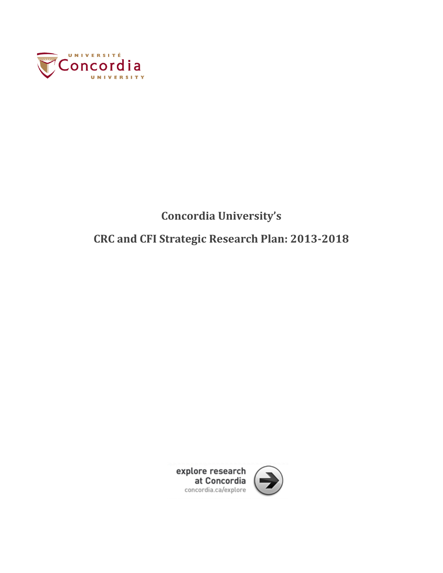

## **Concordia University's**

## **CRC and CFI Strategic Research Plan: 2013‐2018**

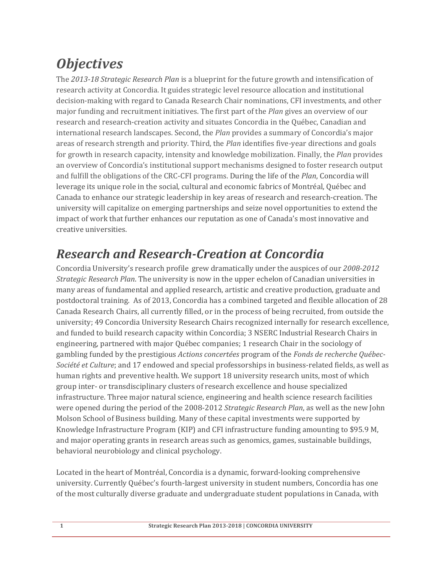# *Objectives*

The 2013-18 Strategic Research Plan is a blueprint for the future growth and intensification of research activity at Concordia. It guides strategic level resource allocation and institutional decision-making with regard to Canada Research Chair nominations, CFI investments, and other major funding and recruitment initiatives. The first part of the *Plan* gives an overview of our research and research-creation activity and situates Concordia in the Québec, Canadian and international research landscapes. Second, the *Plan* provides a summary of Concordia's major areas of research strength and priority. Third, the *Plan* identifies five-year directions and goals for growth in research capacity, intensity and knowledge mobilization. Finally, the *Plan* provides an overview of Concordia's institutional support mechanisms designed to foster research output and fulfill the obligations of the CRC-CFI programs. During the life of the *Plan*, Concordia will leverage its unique role in the social, cultural and economic fabrics of Montréal, Québec and Canada to enhance our strategic leadership in key areas of research and research-creation. The university will capitalize on emerging partnerships and seize novel opportunities to extend the impact of work that further enhances our reputation as one of Canada's most innovative and creative universities.

## *Research and Research‐Creation at Concordia*

Concordia University's research profile grew dramatically under the auspices of our  $2008-2012$ *Strategic Research Plan*. The university is now in the upper echelon of Canadian universities in many areas of fundamental and applied research, artistic and creative production, graduate and postdoctoral training. As of 2013, Concordia has a combined targeted and flexible allocation of 28 Canada Research Chairs, all currently filled, or in the process of being recruited, from outside the university; 49 Concordia University Research Chairs recognized internally for research excellence, and funded to build research capacity within Concordia; 3 NSERC Industrial Research Chairs in engineering, partnered with major Québec companies; 1 research Chair in the sociology of gambling funded by the prestigious Actions concertées program of the Fonds de recherche Québec-*Société et Culture*; and 17 endowed and special professorships in business-related fields, as well as human rights and preventive health. We support 18 university research units, most of which group inter- or transdisciplinary clusters of research excellence and house specialized infrastructure. Three major natural science, engineering and health science research facilities were opened during the period of the 2008–2012 *Strategic Research Plan*, as well as the new John Molson School of Business building. Many of these capital investments were supported by Knowledge Infrastructure Program (KIP) and CFI infrastructure funding amounting to \$95.9 M, and major operating grants in research areas such as genomics, games, sustainable buildings, behavioral neurobiology and clinical psychology.

Located in the heart of Montréal, Concordia is a dynamic, forward-looking comprehensive university. Currently Québec's fourth-largest university in student numbers, Concordia has one of the most culturally diverse graduate and undergraduate student populations in Canada, with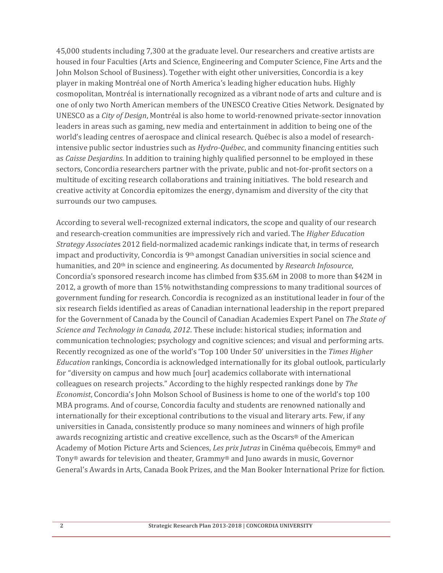45,000 students including 7,300 at the graduate level. Our researchers and creative artists are housed in four Faculties (Arts and Science, Engineering and Computer Science, Fine Arts and the John Molson School of Business). Together with eight other universities, Concordia is a key player in making Montréal one of North America's leading higher education hubs. Highly cosmopolitan, Montréal is internationally recognized as a vibrant node of arts and culture and is one of only two North American members of the UNESCO Creative Cities Network. Designated by UNESCO as a *City of Design*, Montréal is also home to world-renowned private-sector innovation leaders in areas such as gaming, new media and entertainment in addition to being one of the world's leading centres of aerospace and clinical research. Québec is also a model of researchintensive public sector industries such as *Hydro*-*Québec*, and community financing entities such as *Caisse Desjardins*. In addition to training highly qualified personnel to be employed in these sectors, Concordia researchers partner with the private, public and not-for-profit sectors on a multitude of exciting research collaborations and training initiatives. The bold research and creative activity at Concordia epitomizes the energy, dynamism and diversity of the city that surrounds our two campuses.

According to several well-recognized external indicators, the scope and quality of our research and research-creation communities are impressively rich and varied. The *Higher Education Strategy Associates* 2012 field-normalized academic rankings indicate that, in terms of research impact and productivity, Concordia is  $9<sup>th</sup>$  amongst Canadian universities in social science and humanities, and 20<sup>th</sup> in science and engineering. As documented by *Research Infosource*, Concordia's sponsored research income has climbed from \$35.6M in 2008 to more than \$42M in 2012, a growth of more than 15% notwithstanding compressions to many traditional sources of government funding for research. Concordia is recognized as an institutional leader in four of the six research fields identified as areas of Canadian international leadership in the report prepared for the Government of Canada by the Council of Canadian Academies Expert Panel on *The State of Science and Technology in Canada, 2012*. These include: historical studies; information and communication technologies; psychology and cognitive sciences; and visual and performing arts. Recently recognized as one of the world's 'Top 100 Under 50' universities in the *Times Higher Education* rankings, Concordia is acknowledged internationally for its global outlook, particularly for "diversity on campus and how much [our] academics collaborate with international colleagues on research projects." According to the highly respected rankings done by *The Economist*, Concordia's John Molson School of Business is home to one of the world's top 100 MBA programs. And of course, Concordia faculty and students are renowned nationally and internationally for their exceptional contributions to the visual and literary arts. Few, if any universities in Canada, consistently produce so many nominees and winners of high profile awards recognizing artistic and creative excellence, such as the Oscars® of the American Academy of Motion Picture Arts and Sciences, *Les prix Jutras* in Cinéma québecois, Emmy<sup>®</sup> and Tony® awards for television and theater, Grammy® and Juno awards in music, Governor General's Awards in Arts, Canada Book Prizes, and the Man Booker International Prize for fiction.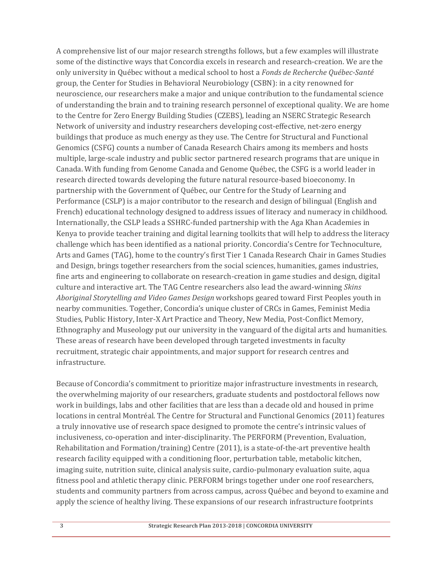A comprehensive list of our major research strengths follows, but a few examples will illustrate some of the distinctive ways that Concordia excels in research and research-creation. We are the only university in Québec without a medical school to host a *Fonds de Recherche Québec‐Santé* group, the Center for Studies in Behavioral Neurobiology (CSBN): in a city renowned for neuroscience, our researchers make a major and unique contribution to the fundamental science of understanding the brain and to training research personnel of exceptional quality. We are home to the Centre for Zero Energy Building Studies (CZEBS), leading an NSERC Strategic Research Network of university and industry researchers developing cost-effective, net-zero energy buildings that produce as much energy as they use. The Centre for Structural and Functional Genomics (CSFG) counts a number of Canada Research Chairs among its members and hosts multiple, large-scale industry and public sector partnered research programs that are unique in Canada. With funding from Genome Canada and Genome Québec, the CSFG is a world leader in research directed towards developing the future natural resource-based bioeconomy. In partnership with the Government of Québec, our Centre for the Study of Learning and Performance (CSLP) is a major contributor to the research and design of bilingual (English and French) educational technology designed to address issues of literacy and numeracy in childhood. Internationally, the CSLP leads a SSHRC-funded partnership with the Aga Khan Academies in Kenya to provide teacher training and digital learning toolkits that will help to address the literacy challenge which has been identified as a national priority. Concordia's Centre for Technoculture, Arts and Games (TAG), home to the country's first Tier 1 Canada Research Chair in Games Studies and Design, brings together researchers from the social sciences, humanities, games industries, fine arts and engineering to collaborate on research-creation in game studies and design, digital culture and interactive art. The TAG Centre researchers also lead the award-winning *Skins Aboriginal Storytelling and Video Games Design* workshops geared toward First Peoples youth in nearby communities. Together, Concordia's unique cluster of CRCs in Games, Feminist Media Studies, Public History, Inter-X Art Practice and Theory, New Media, Post-Conflict Memory, Ethnography and Museology put our university in the vanguard of the digital arts and humanities. These areas of research have been developed through targeted investments in faculty recruitment, strategic chair appointments, and major support for research centres and infrastructure. 

Because of Concordia's commitment to prioritize major infrastructure investments in research, the overwhelming majority of our researchers, graduate students and postdoctoral fellows now work in buildings, labs and other facilities that are less than a decade old and housed in prime locations in central Montréal. The Centre for Structural and Functional Genomics (2011) features a truly innovative use of research space designed to promote the centre's intrinsic values of inclusiveness, co-operation and inter-disciplinarity. The PERFORM (Prevention, Evaluation, Rehabilitation and Formation/training) Centre  $(2011)$ , is a state-of-the-art preventive health research facility equipped with a conditioning floor, perturbation table, metabolic kitchen, imaging suite, nutrition suite, clinical analysis suite, cardio-pulmonary evaluation suite, aqua fitness pool and athletic therapy clinic. PERFORM brings together under one roof researchers, students and community partners from across campus, across Québec and beyond to examine and apply the science of healthy living. These expansions of our research infrastructure footprints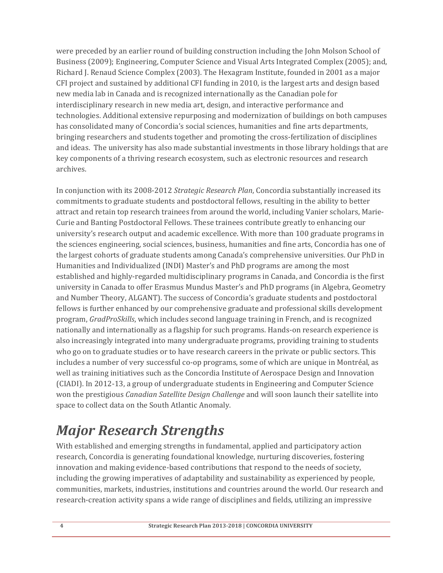were preceded by an earlier round of building construction including the John Molson School of Business (2009); Engineering, Computer Science and Visual Arts Integrated Complex (2005); and, Richard J. Renaud Science Complex (2003). The Hexagram Institute, founded in 2001 as a major CFI project and sustained by additional CFI funding in 2010, is the largest arts and design based new media lab in Canada and is recognized internationally as the Canadian pole for interdisciplinary research in new media art, design, and interactive performance and technologies. Additional extensive repurposing and modernization of buildings on both campuses has consolidated many of Concordia's social sciences, humanities and fine arts departments, bringing researchers and students together and promoting the cross-fertilization of disciplines and ideas. The university has also made substantial investments in those library holdings that are key components of a thriving research ecosystem, such as electronic resources and research archives. 

In conjunction with its 2008-2012 *Strategic Research Plan*, Concordia substantially increased its commitments to graduate students and postdoctoral fellows, resulting in the ability to better attract and retain top research trainees from around the world, including Vanier scholars, Marie-Curie and Banting Postdoctoral Fellows. These trainees contribute greatly to enhancing our university's research output and academic excellence. With more than 100 graduate programs in the sciences engineering, social sciences, business, humanities and fine arts, Concordia has one of the largest cohorts of graduate students among Canada's comprehensive universities. Our PhD in Humanities and Individualized (INDI) Master's and PhD programs are among the most established and highly-regarded multidisciplinary programs in Canada, and Concordia is the first university in Canada to offer Erasmus Mundus Master's and PhD programs (in Algebra, Geometry and Number Theory, ALGANT). The success of Concordia's graduate students and postdoctoral fellows is further enhanced by our comprehensive graduate and professional skills development program, *GradProSkills*, which includes second language training in French, and is recognized nationally and internationally as a flagship for such programs. Hands-on research experience is also increasingly integrated into many undergraduate programs, providing training to students who go on to graduate studies or to have research careers in the private or public sectors. This includes a number of very successful co-op programs, some of which are unique in Montréal, as well as training initiatives such as the Concordia Institute of Aerospace Design and Innovation (CIADI). In 2012-13, a group of undergraduate students in Engineering and Computer Science won the prestigious *Canadian Satellite Design Challenge* and will soon launch their satellite into space to collect data on the South Atlantic Anomaly.

# *Major Research Strengths*

With established and emerging strengths in fundamental, applied and participatory action research, Concordia is generating foundational knowledge, nurturing discoveries, fostering innovation and making evidence-based contributions that respond to the needs of society, including the growing imperatives of adaptability and sustainability as experienced by people, communities, markets, industries, institutions and countries around the world. Our research and research-creation activity spans a wide range of disciplines and fields, utilizing an impressive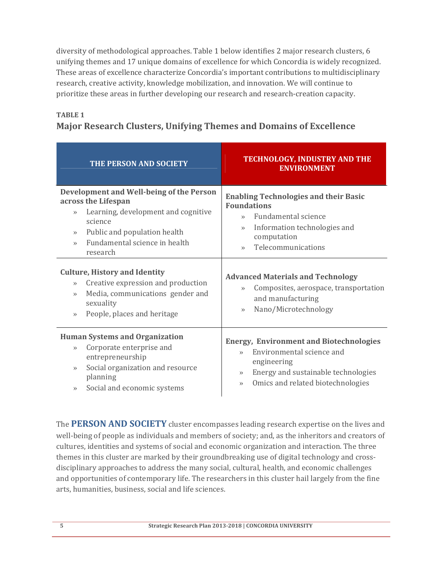diversity of methodological approaches. Table 1 below identifies 2 major research clusters, 6 unifying themes and 17 unique domains of excellence for which Concordia is widely recognized. These areas of excellence characterize Concordia's important contributions to multidisciplinary research, creative activity, knowledge mobilization, and innovation. We will continue to prioritize these areas in further developing our research and research-creation capacity.

## **TABLE 1 Major Research Clusters, Unifying Themes and Domains of Excellence**

| THE PERSON AND SOCIETY                                                                                                                                                                                                                                                            | <b>TECHNOLOGY, INDUSTRY AND THE</b><br><b>ENVIRONMENT</b>                                                                                                                                                         |  |  |  |  |  |  |  |
|-----------------------------------------------------------------------------------------------------------------------------------------------------------------------------------------------------------------------------------------------------------------------------------|-------------------------------------------------------------------------------------------------------------------------------------------------------------------------------------------------------------------|--|--|--|--|--|--|--|
| Development and Well-being of the Person<br>across the Lifespan<br>Learning, development and cognitive<br>$\rightarrow$<br>science<br>Public and population health<br>$\gg$<br>Fundamental science in health<br>$\rightarrow$<br>research<br><b>Culture, History and Identity</b> | <b>Enabling Technologies and their Basic</b><br><b>Foundations</b><br>Fundamental science<br>$\vee$<br>Information technologies and<br>$\rangle$<br>computation<br>Telecommunications<br>$\rightarrow$            |  |  |  |  |  |  |  |
| Creative expression and production<br>$\rightarrow$<br>Media, communications gender and<br>$\rightarrow$<br>sexuality<br>People, places and heritage<br>$\rightarrow$                                                                                                             | <b>Advanced Materials and Technology</b><br>Composites, aerospace, transportation<br>$\rangle$<br>and manufacturing<br>Nano/Microtechnology<br>$\rightarrow$                                                      |  |  |  |  |  |  |  |
| <b>Human Systems and Organization</b><br>Corporate enterprise and<br>$\rightarrow$<br>entrepreneurship<br>Social organization and resource<br>$\rightarrow$<br>planning<br>Social and economic systems<br>$\gg$                                                                   | <b>Energy, Environment and Biotechnologies</b><br>Environmental science and<br>$\rightarrow$<br>engineering<br>Energy and sustainable technologies<br>$\rightarrow$<br>Omics and related biotechnologies<br>$\gg$ |  |  |  |  |  |  |  |

The **PERSON AND SOCIETY** cluster encompasses leading research expertise on the lives and well-being of people as individuals and members of society; and, as the inheritors and creators of cultures, identities and systems of social and economic organization and interaction. The three themes in this cluster are marked by their groundbreaking use of digital technology and crossdisciplinary approaches to address the many social, cultural, health, and economic challenges and opportunities of contemporary life. The researchers in this cluster hail largely from the fine arts, humanities, business, social and life sciences.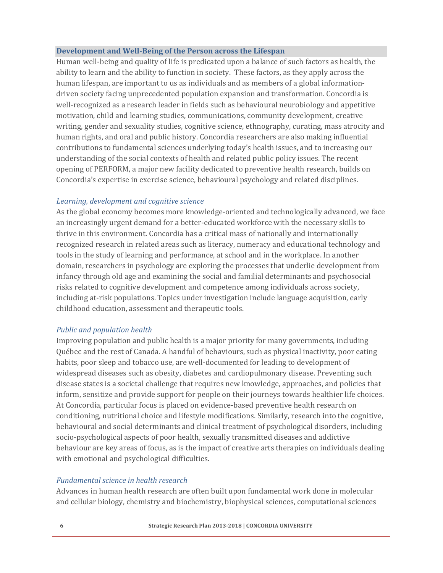#### **Development and Well‐Being of the Person across the Lifespan**

Human well-being and quality of life is predicated upon a balance of such factors as health, the ability to learn and the ability to function in society. These factors, as they apply across the human lifespan, are important to us as individuals and as members of a global informationdriven society facing unprecedented population expansion and transformation. Concordia is well-recognized as a research leader in fields such as behavioural neurobiology and appetitive motivation, child and learning studies, communications, community development, creative writing, gender and sexuality studies, cognitive science, ethnography, curating, mass atrocity and human rights, and oral and public history. Concordia researchers are also making influential contributions to fundamental sciences underlying today's health issues, and to increasing our understanding of the social contexts of health and related public policy issues. The recent opening of PERFORM, a major new facility dedicated to preventive health research, builds on Concordia's expertise in exercise science, behavioural psychology and related disciplines.

#### *Learning, development and cognitive science*

As the global economy becomes more knowledge-oriented and technologically advanced, we face an increasingly urgent demand for a better-educated workforce with the necessary skills to thrive in this environment. Concordia has a critical mass of nationally and internationally recognized research in related areas such as literacy, numeracy and educational technology and tools in the study of learning and performance, at school and in the workplace. In another domain, researchers in psychology are exploring the processes that underlie development from infancy through old age and examining the social and familial determinants and psychosocial risks related to cognitive development and competence among individuals across society, including at-risk populations. Topics under investigation include language acquisition, early childhood education, assessment and therapeutic tools.

#### *Public and population health*

Improving population and public health is a major priority for many governments, including Québec and the rest of Canada. A handful of behaviours, such as physical inactivity, poor eating habits, poor sleep and tobacco use, are well-documented for leading to development of widespread diseases such as obesity, diabetes and cardiopulmonary disease. Preventing such disease states is a societal challenge that requires new knowledge, approaches, and policies that inform, sensitize and provide support for people on their journeys towards healthier life choices. At Concordia, particular focus is placed on evidence-based preventive health research on conditioning, nutritional choice and lifestyle modifications. Similarly, research into the cognitive, behavioural and social determinants and clinical treatment of psychological disorders, including socio-psychological aspects of poor health, sexually transmitted diseases and addictive behaviour are key areas of focus, as is the impact of creative arts therapies on individuals dealing with emotional and psychological difficulties.

#### *Fundamental science in health research*

Advances in human health research are often built upon fundamental work done in molecular and cellular biology, chemistry and biochemistry, biophysical sciences, computational sciences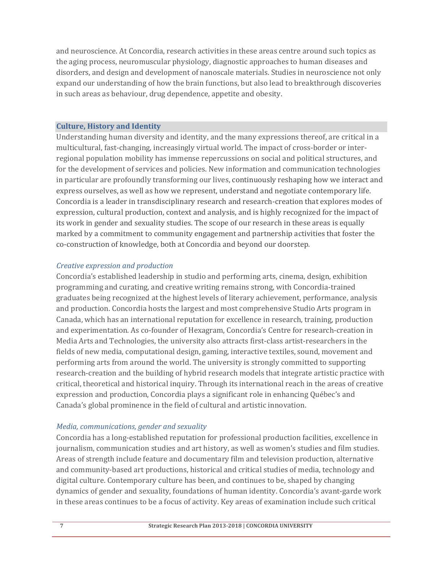and neuroscience. At Concordia, research activities in these areas centre around such topics as the aging process, neuromuscular physiology, diagnostic approaches to human diseases and disorders, and design and development of nanoscale materials. Studies in neuroscience not only expand our understanding of how the brain functions, but also lead to breakthrough discoveries in such areas as behaviour, drug dependence, appetite and obesity.

#### **Culture, History and Identity**

Understanding human diversity and identity, and the many expressions thereof, are critical in a multicultural, fast-changing, increasingly virtual world. The impact of cross-border or interregional population mobility has immense repercussions on social and political structures, and for the development of services and policies. New information and communication technologies in particular are profoundly transforming our lives, continuously reshaping how we interact and express ourselves, as well as how we represent, understand and negotiate contemporary life. Concordia is a leader in transdisciplinary research and research-creation that explores modes of expression, cultural production, context and analysis, and is highly recognized for the impact of its work in gender and sexuality studies. The scope of our research in these areas is equally marked by a commitment to community engagement and partnership activities that foster the co-construction of knowledge, both at Concordia and beyond our doorstep.

#### *Creative expression and production*

Concordia's established leadership in studio and performing arts, cinema, design, exhibition programming and curating, and creative writing remains strong, with Concordia-trained graduates being recognized at the highest levels of literary achievement, performance, analysis and production. Concordia hosts the largest and most comprehensive Studio Arts program in Canada, which has an international reputation for excellence in research, training, production and experimentation. As co-founder of Hexagram, Concordia's Centre for research-creation in Media Arts and Technologies, the university also attracts first-class artist-researchers in the fields of new media, computational design, gaming, interactive textiles, sound, movement and performing arts from around the world. The university is strongly committed to supporting research-creation and the building of hybrid research models that integrate artistic practice with critical, theoretical and historical inquiry. Through its international reach in the areas of creative expression and production, Concordia plays a significant role in enhancing Québec's and Canada's global prominence in the field of cultural and artistic innovation.

#### *Media, communications, gender and sexuality*

Concordia has a long-established reputation for professional production facilities, excellence in journalism, communication studies and art history, as well as women's studies and film studies. Areas of strength include feature and documentary film and television production, alternative and community-based art productions, historical and critical studies of media, technology and digital culture. Contemporary culture has been, and continues to be, shaped by changing dynamics of gender and sexuality, foundations of human identity. Concordia's avant-garde work in these areas continues to be a focus of activity. Key areas of examination include such critical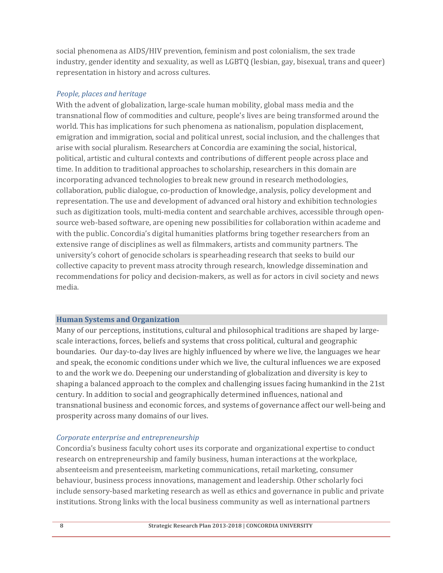social phenomena as AIDS/HIV prevention, feminism and post colonialism, the sex trade industry, gender identity and sexuality, as well as LGBTQ (lesbian, gay, bisexual, trans and queer) representation in history and across cultures.

#### *People, places and heritage*

With the advent of globalization, large-scale human mobility, global mass media and the transnational flow of commodities and culture, people's lives are being transformed around the world. This has implications for such phenomena as nationalism, population displacement, emigration and immigration, social and political unrest, social inclusion, and the challenges that arise with social pluralism. Researchers at Concordia are examining the social, historical, political, artistic and cultural contexts and contributions of different people across place and time. In addition to traditional approaches to scholarship, researchers in this domain are incorporating advanced technologies to break new ground in research methodologies, collaboration, public dialogue, co-production of knowledge, analysis, policy development and representation. The use and development of advanced oral history and exhibition technologies such as digitization tools, multi-media content and searchable archives, accessible through opensource web-based software, are opening new possibilities for collaboration within academe and with the public. Concordia's digital humanities platforms bring together researchers from an extensive range of disciplines as well as filmmakers, artists and community partners. The university's cohort of genocide scholars is spearheading research that seeks to build our collective capacity to prevent mass atrocity through research, knowledge dissemination and recommendations for policy and decision-makers, as well as for actors in civil society and news media. 

#### **Human Systems and Organization**

Many of our perceptions, institutions, cultural and philosophical traditions are shaped by largescale interactions, forces, beliefs and systems that cross political, cultural and geographic boundaries. Our day-to-day lives are highly influenced by where we live, the languages we hear and speak, the economic conditions under which we live, the cultural influences we are exposed to and the work we do. Deepening our understanding of globalization and diversity is key to shaping a balanced approach to the complex and challenging issues facing humankind in the 21st century. In addition to social and geographically determined influences, national and transnational business and economic forces, and systems of governance affect our well-being and prosperity across many domains of our lives.

#### *Corporate enterprise and entrepreneurship*

Concordia's business faculty cohort uses its corporate and organizational expertise to conduct research on entrepreneurship and family business, human interactions at the workplace, absenteeism and presenteeism, marketing communications, retail marketing, consumer behaviour, business process innovations, management and leadership. Other scholarly foci include sensory-based marketing research as well as ethics and governance in public and private institutions. Strong links with the local business community as well as international partners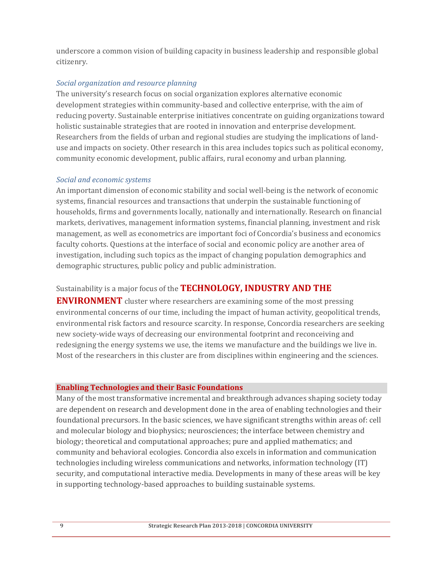underscore a common vision of building capacity in business leadership and responsible global citizenry. 

#### *Social organization and resource planning*

The university's research focus on social organization explores alternative economic development strategies within community-based and collective enterprise, with the aim of reducing poverty. Sustainable enterprise initiatives concentrate on guiding organizations toward holistic sustainable strategies that are rooted in innovation and enterprise development. Researchers from the fields of urban and regional studies are studying the implications of landuse and impacts on society. Other research in this area includes topics such as political economy, community economic development, public affairs, rural economy and urban planning.

#### *Social and economic systems*

An important dimension of economic stability and social well-being is the network of economic systems, financial resources and transactions that underpin the sustainable functioning of households, firms and governments locally, nationally and internationally. Research on financial markets, derivatives, management information systems, financial planning, investment and risk management, as well as econometrics are important foci of Concordia's business and economics faculty cohorts. Questions at the interface of social and economic policy are another area of investigation, including such topics as the impact of changing population demographics and demographic structures, public policy and public administration.

### Sustainability is a major focus of the **TECHNOLOGY, INDUSTRY AND THE**

**ENVIRONMENT** cluster where researchers are examining some of the most pressing environmental concerns of our time, including the impact of human activity, geopolitical trends, environmental risk factors and resource scarcity. In response, Concordia researchers are seeking new society-wide ways of decreasing our environmental footprint and reconceiving and redesigning the energy systems we use, the items we manufacture and the buildings we live in. Most of the researchers in this cluster are from disciplines within engineering and the sciences.

#### **Enabling Technologies and their Basic Foundations**

Many of the most transformative incremental and breakthrough advances shaping society today are dependent on research and development done in the area of enabling technologies and their foundational precursors. In the basic sciences, we have significant strengths within areas of: cell and molecular biology and biophysics; neurosciences; the interface between chemistry and biology; theoretical and computational approaches; pure and applied mathematics; and community and behavioral ecologies. Concordia also excels in information and communication technologies including wireless communications and networks, information technology (IT) security, and computational interactive media. Developments in many of these areas will be key in supporting technology-based approaches to building sustainable systems.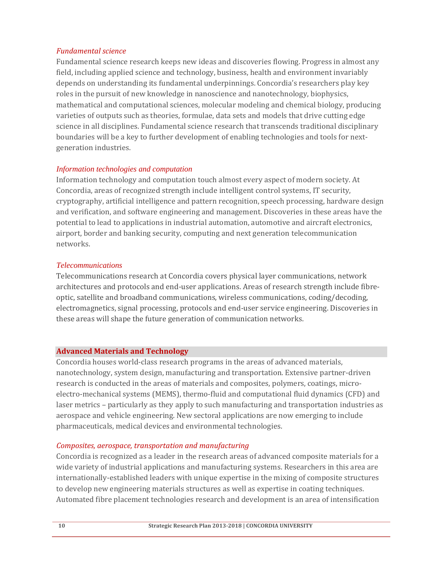#### *Fundamental science*

Fundamental science research keeps new ideas and discoveries flowing. Progress in almost any field, including applied science and technology, business, health and environment invariably depends on understanding its fundamental underpinnings. Concordia's researchers play key roles in the pursuit of new knowledge in nanoscience and nanotechnology, biophysics, mathematical and computational sciences, molecular modeling and chemical biology, producing varieties of outputs such as theories, formulae, data sets and models that drive cutting edge science in all disciplines. Fundamental science research that transcends traditional disciplinary boundaries will be a key to further development of enabling technologies and tools for nextgeneration industries.

#### *Information technologies and computation*

Information technology and computation touch almost every aspect of modern society. At Concordia, areas of recognized strength include intelligent control systems, IT security, cryptography, artificial intelligence and pattern recognition, speech processing, hardware design and verification, and software engineering and management. Discoveries in these areas have the potential to lead to applications in industrial automation, automotive and aircraft electronics, airport, border and banking security, computing and next generation telecommunication networks. 

#### *Telecommunications*

Telecommunications research at Concordia covers physical layer communications, network architectures and protocols and end-user applications. Areas of research strength include fibreoptic, satellite and broadband communications, wireless communications, coding/decoding, electromagnetics, signal processing, protocols and end-user service engineering. Discoveries in these areas will shape the future generation of communication networks.

#### **Advanced Materials and Technology**

Concordia houses world-class research programs in the areas of advanced materials, nanotechnology, system design, manufacturing and transportation. Extensive partner-driven research is conducted in the areas of materials and composites, polymers, coatings, microelectro-mechanical systems (MEMS), thermo-fluid and computational fluid dynamics (CFD) and laser metrics – particularly as they apply to such manufacturing and transportation industries as aerospace and vehicle engineering. New sectoral applications are now emerging to include pharmaceuticals, medical devices and environmental technologies.

#### *Composites, aerospace, transportation and manufacturing*

Concordia is recognized as a leader in the research areas of advanced composite materials for a wide variety of industrial applications and manufacturing systems. Researchers in this area are internationally-established leaders with unique expertise in the mixing of composite structures to develop new engineering materials structures as well as expertise in coating techniques. Automated fibre placement technologies research and development is an area of intensification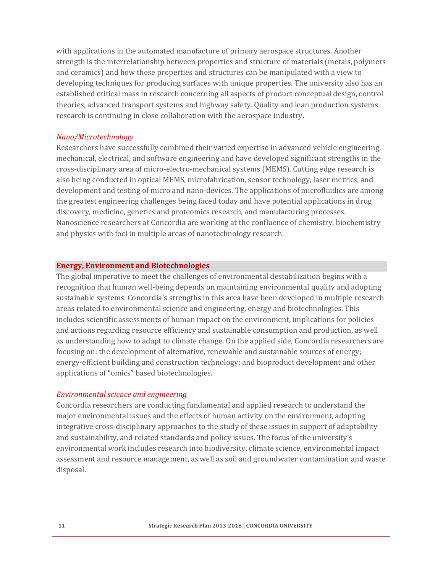with applications in the automated manufacture of primary aerospace structures. Another strength is the interrelationship between properties and structure of materials (metals, polymers and ceramics) and how these properties and structures can be manipulated with a view to developing techniques for producing surfaces with unique properties. The university also has an established critical mass in research concerning all aspects of product conceptual design, control theories, advanced transport systems and highway safety. Quality and lean production systems research is continuing in close collaboration with the aerospace industry.

#### *Nano/Microtechnology*

Researchers have successfully combined their varied expertise in advanced vehicle engineering, mechanical, electrical, and software engineering and have developed significant strengths in the cross-disciplinary area of micro-electro-mechanical systems (MEMS). Cutting edge research is also being conducted in optical MEMS, microfabrication, sensor technology, laser metrics, and development and testing of micro and nano-devices. The applications of microfluidics are among the greatest engineering challenges being faced today and have potential applications in drug discovery, medicine, genetics and proteomics research, and manufacturing processes. Nanoscience researchers at Concordia are working at the confluence of chemistry, biochemistry and physics with foci in multiple areas of nanotechnology research.

#### **Energy, Environment and Biotechnologies**

The global imperative to meet the challenges of environmental destabilization begins with a recognition that human well-being depends on maintaining environmental quality and adopting sustainable systems. Concordia's strengths in this area have been developed in multiple research areas related to environmental science and engineering, energy and biotechnologies. This includes scientific assessments of human impact on the environment, implications for policies and actions regarding resource efficiency and sustainable consumption and production, as well as understanding how to adapt to climate change. On the applied side, Concordia researchers are focusing on: the development of alternative, renewable and sustainable sources of energy; energy-efficient building and construction technology; and bioproduct development and other applications of "omics" based biotechnologies.

#### *Environmental science and engineering*

Concordia researchers are conducting fundamental and applied research to understand the major environmental issues and the effects of human activity on the environment, adopting integrative cross-disciplinary approaches to the study of these issues in support of adaptability and sustainability, and related standards and policy issues. The focus of the university's environmental work includes research into biodiversity, climate science, environmental impact assessment and resource management, as well as soil and groundwater contamination and waste disposal.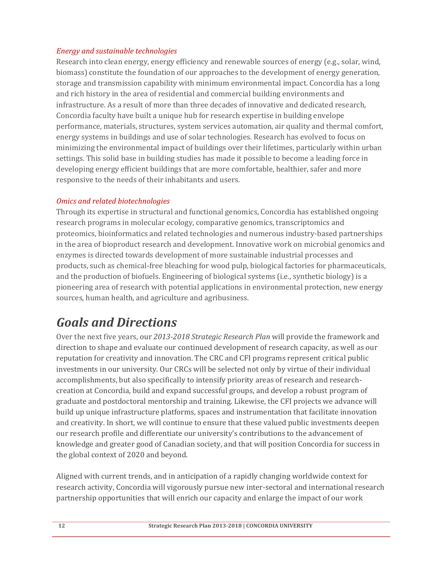#### *Energy and sustainable technologies*

Research into clean energy, energy efficiency and renewable sources of energy (e.g., solar, wind, biomass) constitute the foundation of our approaches to the development of energy generation, storage and transmission capability with minimum environmental impact. Concordia has a long and rich history in the area of residential and commercial building environments and infrastructure. As a result of more than three decades of innovative and dedicated research, Concordia faculty have built a unique hub for research expertise in building envelope performance, materials, structures, system services automation, air quality and thermal comfort, energy systems in buildings and use of solar technologies. Research has evolved to focus on minimizing the environmental impact of buildings over their lifetimes, particularly within urban settings. This solid base in building studies has made it possible to become a leading force in developing energy efficient buildings that are more comfortable, healthier, safer and more responsive to the needs of their inhabitants and users.

### *Omics and related biotechnologies*

Through its expertise in structural and functional genomics, Concordia has established ongoing research programs in molecular ecology, comparative genomics, transcriptomics and proteomics, bioinformatics and related technologies and numerous industry-based partnerships in the area of bioproduct research and development. Innovative work on microbial genomics and enzymes is directed towards development of more sustainable industrial processes and products, such as chemical-free bleaching for wood pulp, biological factories for pharmaceuticals, and the production of biofuels. Engineering of biological systems (i.e., synthetic biology) is a pioneering area of research with potential applications in environmental protection, new energy sources, human health, and agriculture and agribusiness.

## *Goals and Directions*

Over the next five years, our 2013-2018 Strategic Research Plan will provide the framework and direction to shape and evaluate our continued development of research capacity, as well as our reputation for creativity and innovation. The CRC and CFI programs represent critical public investments in our university. Our CRCs will be selected not only by virtue of their individual accomplishments, but also specifically to intensify priority areas of research and researchcreation at Concordia, build and expand successful groups, and develop a robust program of graduate and postdoctoral mentorship and training. Likewise, the CFI projects we advance will build up unique infrastructure platforms, spaces and instrumentation that facilitate innovation and creativity. In short, we will continue to ensure that these valued public investments deepen our research profile and differentiate our university's contributions to the advancement of knowledge and greater good of Canadian society, and that will position Concordia for success in the global context of 2020 and beyond.

Aligned with current trends, and in anticipation of a rapidly changing worldwide context for research activity, Concordia will vigorously pursue new inter-sectoral and international research partnership opportunities that will enrich our capacity and enlarge the impact of our work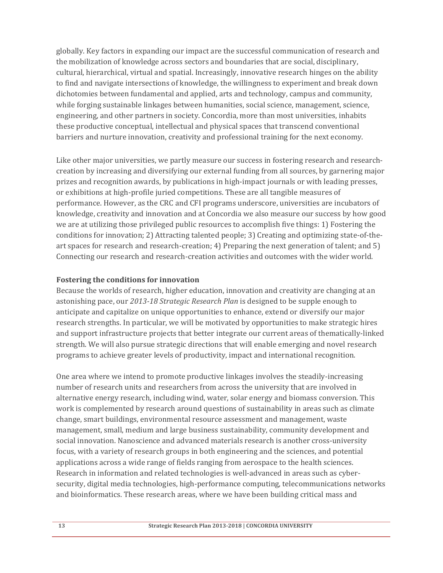globally. Key factors in expanding our impact are the successful communication of research and the mobilization of knowledge across sectors and boundaries that are social, disciplinary, cultural, hierarchical, virtual and spatial. Increasingly, innovative research hinges on the ability to find and navigate intersections of knowledge, the willingness to experiment and break down dichotomies between fundamental and applied, arts and technology, campus and community, while forging sustainable linkages between humanities, social science, management, science, engineering, and other partners in society. Concordia, more than most universities, inhabits these productive conceptual, intellectual and physical spaces that transcend conventional barriers and nurture innovation, creativity and professional training for the next economy.

Like other major universities, we partly measure our success in fostering research and researchcreation by increasing and diversifying our external funding from all sources, by garnering major prizes and recognition awards, by publications in high-impact journals or with leading presses, or exhibitions at high-profile juried competitions. These are all tangible measures of performance. However, as the CRC and CFI programs underscore, universities are incubators of knowledge, creativity and innovation and at Concordia we also measure our success by how good we are at utilizing those privileged public resources to accomplish five things: 1) Fostering the conditions for innovation; 2) Attracting talented people; 3) Creating and optimizing state-of-theart spaces for research and research-creation;  $4$ ) Preparing the next generation of talent; and  $5$ ) Connecting our research and research-creation activities and outcomes with the wider world.

#### **Fostering the conditions for innovation**

Because the worlds of research, higher education, innovation and creativity are changing at an astonishing pace, our 2013-18 Strategic Research Plan is designed to be supple enough to anticipate and capitalize on unique opportunities to enhance, extend or diversify our major research strengths. In particular, we will be motivated by opportunities to make strategic hires and support infrastructure projects that better integrate our current areas of thematically-linked strength. We will also pursue strategic directions that will enable emerging and novel research programs to achieve greater levels of productivity, impact and international recognition.

One area where we intend to promote productive linkages involves the steadily-increasing number of research units and researchers from across the university that are involved in alternative energy research, including wind, water, solar energy and biomass conversion. This work is complemented by research around questions of sustainability in areas such as climate change, smart buildings, environmental resource assessment and management, waste management, small, medium and large business sustainability, community development and social innovation. Nanoscience and advanced materials research is another cross-university focus, with a variety of research groups in both engineering and the sciences, and potential applications across a wide range of fields ranging from aerospace to the health sciences. Research in information and related technologies is well-advanced in areas such as cybersecurity, digital media technologies, high-performance computing, telecommunications networks and bioinformatics. These research areas, where we have been building critical mass and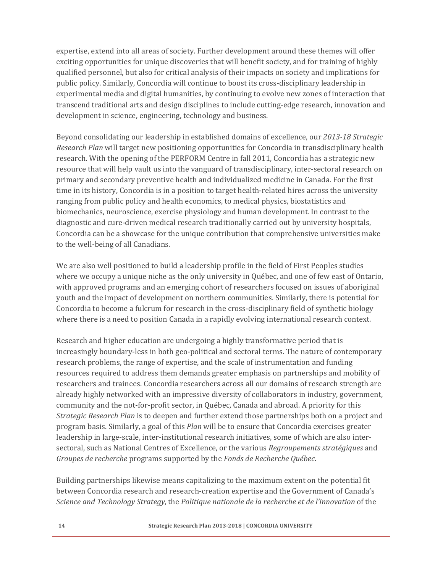expertise, extend into all areas of society. Further development around these themes will offer exciting opportunities for unique discoveries that will benefit society, and for training of highly qualified personnel, but also for critical analysis of their impacts on society and implications for public policy. Similarly, Concordia will continue to boost its cross-disciplinary leadership in experimental media and digital humanities, by continuing to evolve new zones of interaction that transcend traditional arts and design disciplines to include cutting-edge research, innovation and development in science, engineering, technology and business.

Beyond consolidating our leadership in established domains of excellence, our 2013-18 Strategic *Research Plan* will target new positioning opportunities for Concordia in transdisciplinary health research. With the opening of the PERFORM Centre in fall 2011, Concordia has a strategic new resource that will help vault us into the vanguard of transdisciplinary, inter-sectoral research on primary and secondary preventive health and individualized medicine in Canada. For the first time in its history, Concordia is in a position to target health-related hires across the university ranging from public policy and health economics, to medical physics, biostatistics and biomechanics, neuroscience, exercise physiology and human development. In contrast to the diagnostic and cure-driven medical research traditionally carried out by university hospitals, Concordia can be a showcase for the unique contribution that comprehensive universities make to the well-being of all Canadians.

We are also well positioned to build a leadership profile in the field of First Peoples studies where we occupy a unique niche as the only university in Québec, and one of few east of Ontario, with approved programs and an emerging cohort of researchers focused on issues of aboriginal youth and the impact of development on northern communities. Similarly, there is potential for Concordia to become a fulcrum for research in the cross-disciplinary field of synthetic biology where there is a need to position Canada in a rapidly evolving international research context.

Research and higher education are undergoing a highly transformative period that is increasingly boundary-less in both geo-political and sectoral terms. The nature of contemporary research problems, the range of expertise, and the scale of instrumentation and funding resources required to address them demands greater emphasis on partnerships and mobility of researchers and trainees. Concordia researchers across all our domains of research strength are already highly networked with an impressive diversity of collaborators in industry, government, community and the not-for-profit sector, in Québec, Canada and abroad. A priority for this *Strategic Research Plan* is to deepen and further extend those partnerships both on a project and program basis. Similarly, a goal of this *Plan* will be to ensure that Concordia exercises greater leadership in large-scale, inter-institutional research initiatives, some of which are also intersectoral, such as National Centres of Excellence, or the various *Regroupements stratégiques* and *Groupes de recherche* programs supported by the *Fonds de Recherche Québec*. 

Building partnerships likewise means capitalizing to the maximum extent on the potential fit between Concordia research and research-creation expertise and the Government of Canada's *Science and Technology Strategy*, the *Politique nationale de la recherche et de l'innovation* of the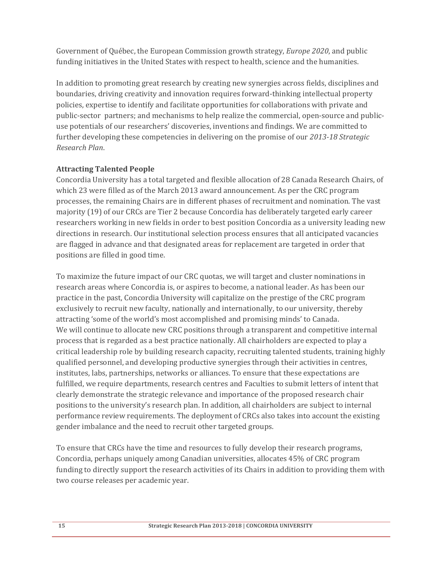Government of Québec, the European Commission growth strategy, *Europe* 2020, and public funding initiatives in the United States with respect to health, science and the humanities.

In addition to promoting great research by creating new synergies across fields, disciplines and boundaries, driving creativity and innovation requires forward-thinking intellectual property policies, expertise to identify and facilitate opportunities for collaborations with private and public-sector partners; and mechanisms to help realize the commercial, open-source and publicuse potentials of our researchers' discoveries, inventions and findings. We are committed to further developing these competencies in delivering on the promise of our 2013-18 Strategic *Research Plan*. 

#### **Attracting Talented People**

Concordia University has a total targeted and flexible allocation of 28 Canada Research Chairs, of which 23 were filled as of the March 2013 award announcement. As per the CRC program processes, the remaining Chairs are in different phases of recruitment and nomination. The vast majority (19) of our CRCs are Tier 2 because Concordia has deliberately targeted early career researchers working in new fields in order to best position Concordia as a university leading new directions in research. Our institutional selection process ensures that all anticipated vacancies are flagged in advance and that designated areas for replacement are targeted in order that positions are filled in good time.

To maximize the future impact of our CRC quotas, we will target and cluster nominations in research areas where Concordia is, or aspires to become, a national leader. As has been our practice in the past, Concordia University will capitalize on the prestige of the CRC program exclusively to recruit new faculty, nationally and internationally, to our university, thereby attracting 'some of the world's most accomplished and promising minds' to Canada. We will continue to allocate new CRC positions through a transparent and competitive internal process that is regarded as a best practice nationally. All chairholders are expected to play a critical leadership role by building research capacity, recruiting talented students, training highly qualified personnel, and developing productive synergies through their activities in centres, institutes, labs, partnerships, networks or alliances. To ensure that these expectations are fulfilled, we require departments, research centres and Faculties to submit letters of intent that clearly demonstrate the strategic relevance and importance of the proposed research chair positions to the university's research plan. In addition, all chairholders are subject to internal performance review requirements. The deployment of CRCs also takes into account the existing gender imbalance and the need to recruit other targeted groups.

To ensure that CRCs have the time and resources to fully develop their research programs, Concordia, perhaps uniquely among Canadian universities, allocates 45% of CRC program funding to directly support the research activities of its Chairs in addition to providing them with two course releases per academic year.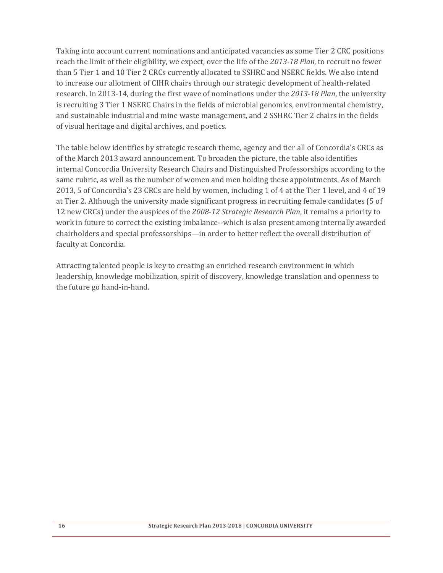Taking into account current nominations and anticipated vacancies as some Tier 2 CRC positions reach the limit of their eligibility, we expect, over the life of the 2013-18 Plan, to recruit no fewer than 5 Tier 1 and 10 Tier 2 CRCs currently allocated to SSHRC and NSERC fields. We also intend to increase our allotment of CIHR chairs through our strategic development of health-related research. In 2013-14, during the first wave of nominations under the 2013-18 Plan, the university is recruiting 3 Tier 1 NSERC Chairs in the fields of microbial genomics, environmental chemistry, and sustainable industrial and mine waste management, and 2 SSHRC Tier 2 chairs in the fields of visual heritage and digital archives, and poetics.

The table below identifies by strategic research theme, agency and tier all of Concordia's CRCs as of the March 2013 award announcement. To broaden the picture, the table also identifies internal Concordia University Research Chairs and Distinguished Professorships according to the same rubric, as well as the number of women and men holding these appointments. As of March 2013, 5 of Concordia's 23 CRCs are held by women, including 1 of 4 at the Tier 1 level, and 4 of 19 at Tier 2. Although the university made significant progress in recruiting female candidates (5 of 12 new CRCs) under the auspices of the 2008-12 Strategic Research Plan, it remains a priority to work in future to correct the existing imbalance--which is also present among internally awarded chairholders and special professorships—in order to better reflect the overall distribution of faculty at Concordia.

Attracting talented people is key to creating an enriched research environment in which leadership, knowledge mobilization, spirit of discovery, knowledge translation and openness to the future go hand-in-hand.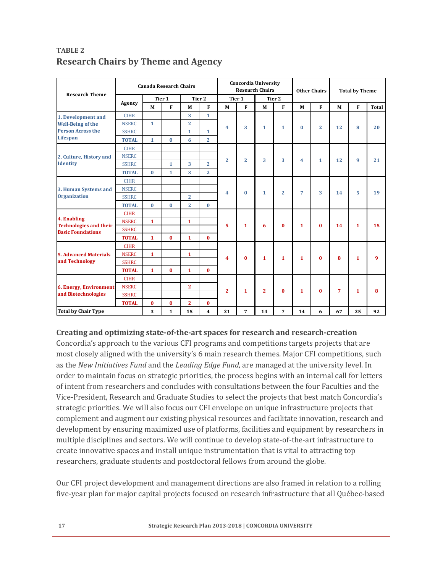| <b>Research Theme</b>                                                                         | <b>Canada Research Chairs</b> |              |              |                   |                         | <b>Concordia University</b><br><b>Research Chairs</b> |                |                |                | <b>Other Chairs</b> |                | <b>Total by Theme</b> |              |              |
|-----------------------------------------------------------------------------------------------|-------------------------------|--------------|--------------|-------------------|-------------------------|-------------------------------------------------------|----------------|----------------|----------------|---------------------|----------------|-----------------------|--------------|--------------|
|                                                                                               |                               | Tier 1       |              | Tier <sub>2</sub> |                         | Tier 1                                                |                | Tier 2         |                |                     |                |                       |              |              |
|                                                                                               | Agency                        | M            | $\mathbf{F}$ | M                 | $\mathbf{F}$            | M                                                     | $\mathbf{F}$   | M              | $\mathbf{F}$   | M                   | F              | M                     | F            | <b>Total</b> |
| 1. Development and<br><b>Well-Being of the</b><br><b>Person Across the</b><br><b>Lifespan</b> | <b>CIHR</b>                   |              |              | 3                 | $\mathbf{1}$            | $\overline{\mathbf{4}}$                               | 3              | $\mathbf{1}$   | $\mathbf{1}$   | $\bf{0}$            | $\overline{2}$ | 12                    | 8            | 20           |
|                                                                                               | <b>NSERC</b>                  | $\mathbf{1}$ |              | $\overline{2}$    |                         |                                                       |                |                |                |                     |                |                       |              |              |
|                                                                                               | <b>SSHRC</b>                  |              |              | $\mathbf{1}$      | $\mathbf{1}$            |                                                       |                |                |                |                     |                |                       |              |              |
|                                                                                               | <b>TOTAL</b>                  | $\mathbf{1}$ | $\bf{0}$     | 6                 | $\overline{2}$          |                                                       |                |                |                |                     |                |                       |              |              |
| 2. Culture, History and<br><b>Identity</b>                                                    | <b>CIHR</b>                   |              |              |                   |                         | $\overline{2}$                                        | $\overline{2}$ | 3              | 3              | 4                   | $\mathbf{1}$   | 12                    | 9            | 21           |
|                                                                                               | <b>NSERC</b>                  |              |              |                   |                         |                                                       |                |                |                |                     |                |                       |              |              |
|                                                                                               | <b>SSHRC</b>                  |              | $\mathbf{1}$ | 3                 | $\overline{2}$          |                                                       |                |                |                |                     |                |                       |              |              |
|                                                                                               | <b>TOTAL</b>                  | $\bf{0}$     | $\mathbf{1}$ | 3                 | $\overline{2}$          |                                                       |                |                |                |                     |                |                       |              |              |
| 3. Human Systems and<br><b>Organization</b>                                                   | <b>CIHR</b>                   |              |              |                   |                         | $\overline{4}$                                        | $\mathbf{0}$   | $\mathbf{1}$   | $\overline{2}$ | $\overline{7}$      | 3              | 14                    | 5            | 19           |
|                                                                                               | <b>NSERC</b>                  |              |              |                   |                         |                                                       |                |                |                |                     |                |                       |              |              |
|                                                                                               | <b>SSHRC</b>                  |              |              | $\overline{2}$    |                         |                                                       |                |                |                |                     |                |                       |              |              |
|                                                                                               | <b>TOTAL</b>                  | $\mathbf{0}$ | $\bf{0}$     | $\overline{2}$    | $\mathbf{0}$            |                                                       |                |                |                |                     |                |                       |              |              |
| 4. Enabling<br><b>Technologies and their</b><br><b>Basic Foundations</b>                      | <b>CIHR</b>                   |              |              |                   |                         | 5                                                     | 1              | 6              | $\bf{0}$       | 1                   | $\bf{0}$       | 14                    | $\mathbf{1}$ | 15           |
|                                                                                               | <b>NSERC</b>                  | $\mathbf{1}$ |              | $\mathbf{1}$      |                         |                                                       |                |                |                |                     |                |                       |              |              |
|                                                                                               | <b>SSHRC</b>                  |              |              |                   |                         |                                                       |                |                |                |                     |                |                       |              |              |
|                                                                                               | <b>TOTAL</b>                  | $\mathbf{1}$ | $\bf{0}$     | $\mathbf{1}$      | $\mathbf{0}$            |                                                       |                |                |                |                     |                |                       |              |              |
| <b>5. Advanced Materials</b><br>and Technology                                                | <b>CIHR</b>                   |              |              |                   |                         | 4                                                     | $\mathbf{0}$   | $\mathbf{1}$   | $\mathbf{1}$   | $\mathbf{1}$        | $\bf{0}$       | 8                     | $\mathbf{1}$ | q            |
|                                                                                               | <b>NSERC</b>                  | $\mathbf{1}$ |              | $\mathbf{1}$      |                         |                                                       |                |                |                |                     |                |                       |              |              |
|                                                                                               | <b>SSHRC</b>                  |              |              |                   |                         |                                                       |                |                |                |                     |                |                       |              |              |
|                                                                                               | <b>TOTAL</b>                  | $\mathbf{1}$ | $\mathbf{0}$ | $\mathbf{1}$      | $\mathbf{0}$            |                                                       |                |                |                |                     |                |                       |              |              |
| <b>6. Energy, Environment</b><br>and Biotechnologies                                          | <b>CIHR</b>                   |              |              |                   |                         |                                                       | $\mathbf{1}$   | $\overline{2}$ | $\mathbf{0}$   | $\mathbf{1}$        | $\bf{0}$       | 7                     | $\mathbf{1}$ | 8            |
|                                                                                               | <b>NSERC</b>                  |              |              | $\overline{2}$    |                         | $\overline{2}$                                        |                |                |                |                     |                |                       |              |              |
|                                                                                               | <b>SSHRC</b>                  |              |              |                   |                         |                                                       |                |                |                |                     |                |                       |              |              |
|                                                                                               | <b>TOTAL</b>                  | $\mathbf{0}$ | $\bf{0}$     | $\mathbf{2}$      | $\mathbf{0}$            |                                                       |                |                |                |                     |                |                       |              |              |
| <b>Total by Chair Type</b>                                                                    |                               | 3            | $\mathbf{1}$ | 15                | $\overline{\mathbf{4}}$ | 21                                                    | 7              | 14             | 7              | 14                  | 6              | 67                    | 25           | 92           |

### **TABLE 2 Research Chairs by Theme and Agency**

#### **Creating and optimizing state‐of‐the‐art spaces for research and research‐creation**

Concordia's approach to the various CFI programs and competitions targets projects that are most closely aligned with the university's 6 main research themes. Major CFI competitions, such as the *New Initiatives Fund* and the *Leading Edge Fund*, are managed at the university level. In order to maintain focus on strategic priorities, the process begins with an internal call for letters of intent from researchers and concludes with consultations between the four Faculties and the Vice-President, Research and Graduate Studies to select the projects that best match Concordia's strategic priorities. We will also focus our CFI envelope on unique infrastructure projects that complement and augment our existing physical resources and facilitate innovation, research and development by ensuring maximized use of platforms, facilities and equipment by researchers in multiple disciplines and sectors. We will continue to develop state-of-the-art infrastructure to create innovative spaces and install unique instrumentation that is vital to attracting top researchers, graduate students and postdoctoral fellows from around the globe.

Our CFI project development and management directions are also framed in relation to a rolling five-year plan for major capital projects focused on research infrastructure that all Québec-based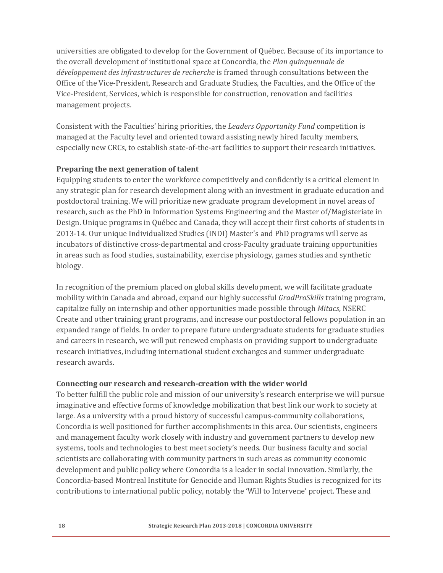universities are obligated to develop for the Government of Québec. Because of its importance to the overall development of institutional space at Concordia, the *Plan quinquennale de développement des infrastructures de recherche* is framed through consultations between the Office of the Vice-President, Research and Graduate Studies, the Faculties, and the Office of the Vice-President, Services, which is responsible for construction, renovation and facilities management projects.

Consistent with the Faculties' hiring priorities, the *Leaders Opportunity Fund* competition is managed at the Faculty level and oriented toward assisting newly hired faculty members, especially new CRCs, to establish state-of-the-art facilities to support their research initiatives.

### **Preparing the next generation of talent**

Equipping students to enter the workforce competitively and confidently is a critical element in any strategic plan for research development along with an investment in graduate education and postdoctoral training. We will prioritize new graduate program development in novel areas of research, such as the PhD in Information Systems Engineering and the Master of/Magisteriate in Design. Unique programs in Québec and Canada, they will accept their first cohorts of students in 2013-14. Our unique Individualized Studies (INDI) Master's and PhD programs will serve as incubators of distinctive cross-departmental and cross-Faculty graduate training opportunities in areas such as food studies, sustainability, exercise physiology, games studies and synthetic biology. 

In recognition of the premium placed on global skills development, we will facilitate graduate mobility within Canada and abroad, expand our highly successful *GradProSkills* training program, capitalize fully on internship and other opportunities made possible through *Mitacs*, NSERC Create and other training grant programs, and increase our postdoctoral fellows population in an expanded range of fields. In order to prepare future undergraduate students for graduate studies and careers in research, we will put renewed emphasis on providing support to undergraduate research initiatives, including international student exchanges and summer undergraduate research awards.

#### **Connecting our research and research‐creation with the wider world**

To better fulfill the public role and mission of our university's research enterprise we will pursue imaginative and effective forms of knowledge mobilization that best link our work to society at large. As a university with a proud history of successful campus-community collaborations, Concordia is well positioned for further accomplishments in this area. Our scientists, engineers and management faculty work closely with industry and government partners to develop new systems, tools and technologies to best meet society's needs. Our business faculty and social scientists are collaborating with community partners in such areas as community economic development and public policy where Concordia is a leader in social innovation. Similarly, the Concordia-based Montreal Institute for Genocide and Human Rights Studies is recognized for its contributions to international public policy, notably the 'Will to Intervene' project. These and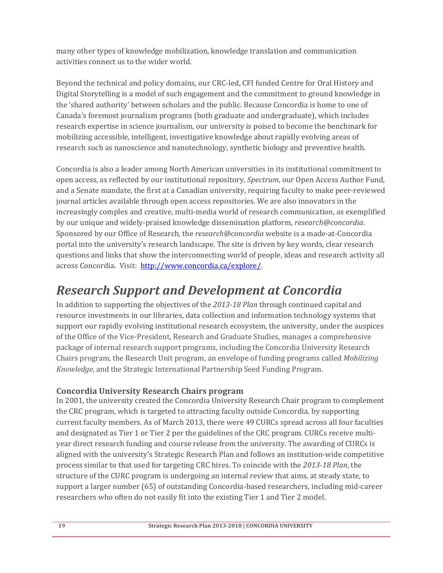many other types of knowledge mobilization, knowledge translation and communication activities connect us to the wider world.

Beyond the technical and policy domains, our CRC-led, CFI funded Centre for Oral History and Digital Storytelling is a model of such engagement and the commitment to ground knowledge in the 'shared authority' between scholars and the public. Because Concordia is home to one of Canada's foremost journalism programs (both graduate and undergraduate), which includes research expertise in science journalism, our university is poised to become the benchmark for mobilizing accessible, intelligent, investigative knowledge about rapidly evolving areas of research such as nanoscience and nanotechnology, synthetic biology and preventive health.

Concordia is also a leader among North American universities in its institutional commitment to open access, as reflected by our institutional repository, *Spectrum*, our Open Access Author Fund, and a Senate mandate, the first at a Canadian university, requiring faculty to make peer-reviewed journal articles available through open access repositories. We are also innovators in the increasingly complex and creative, multi-media world of research communication, as exemplified by our unique and widely-praised knowledge dissemination platform, *research@concordia*. Sponsored by our Office of Research, the *research@concordia* website is a made-at-Concordia portal into the university's research landscape. The site is driven by key words, clear research questions and links that show the interconnecting world of people, ideas and research activity all across Concordia. Visit: http://www.concordia.ca/explore/.

## *Research Support and Development at Concordia*

In addition to supporting the objectives of the 2013-18 *Plan* through continued capital and resource investments in our libraries, data collection and information technology systems that support our rapidly evolving institutional research ecosystem, the university, under the auspices of the Office of the Vice-President, Research and Graduate Studies, manages a comprehensive package of internal research support programs, including the Concordia University Research Chairs program, the Research Unit program, an envelope of funding programs called *Mobilizing Knowledge*, and the Strategic International Partnership Seed Funding Program.

## **Concordia University Research Chairs program**

In 2001, the university created the Concordia University Research Chair program to complement the CRC program, which is targeted to attracting faculty outside Concordia, by supporting current faculty members. As of March 2013, there were 49 CURCs spread across all four faculties and designated as Tier 1 or Tier 2 per the guidelines of the CRC program. CURCs receive multiyear direct research funding and course release from the university. The awarding of CURCs is aligned with the university's Strategic Research Plan and follows an institution-wide competitive process similar to that used for targeting CRC hires. To coincide with the 2013-18 Plan, the structure of the CURC program is undergoing an internal review that aims, at steady state, to support a larger number (65) of outstanding Concordia-based researchers, including mid-career researchers who often do not easily fit into the existing Tier 1 and Tier 2 model.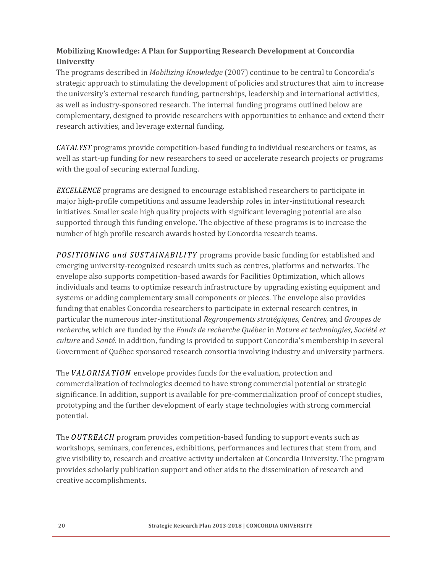## **Mobilizing Knowledge: A Plan for Supporting Research Development at Concordia University**

The programs described in *Mobilizing Knowledge* (2007) continue to be central to Concordia's strategic approach to stimulating the development of policies and structures that aim to increase the university's external research funding, partnerships, leadership and international activities, as well as industry-sponsored research. The internal funding programs outlined below are complementary, designed to provide researchers with opportunities to enhance and extend their research activities, and leverage external funding.

*CATALYST* programs provide competition-based funding to individual researchers or teams, as well as start-up funding for new researchers to seed or accelerate research projects or programs with the goal of securing external funding.

*EXCELLENCE* programs are designed to encourage established researchers to participate in major high-profile competitions and assume leadership roles in inter-institutional research initiatives. Smaller scale high quality projects with significant leveraging potential are also supported through this funding envelope. The objective of these programs is to increase the number of high profile research awards hosted by Concordia research teams.

*POSITIONING* and *SUSTAINABILITY* programs provide basic funding for established and emerging university-recognized research units such as centres, platforms and networks. The envelope also supports competition-based awards for Facilities Optimization, which allows individuals and teams to optimize research infrastructure by upgrading existing equipment and systems or adding complementary small components or pieces. The envelope also provides funding that enables Concordia researchers to participate in external research centres, in particular the numerous inter‐institutional *Regroupements stratégiques*, *Centres,* and *Groupes de recherche,* which are funded by the *Fonds de recherche Québec* in *Nature et technologies*, *Société et culture* and *Santé*. In addition, funding is provided to support Concordia's membership in several Government of Québec sponsored research consortia involving industry and university partners.

The *VALORISATION* envelope provides funds for the evaluation, protection and commercialization of technologies deemed to have strong commercial potential or strategic significance. In addition, support is available for pre-commercialization proof of concept studies, prototyping and the further development of early stage technologies with strong commercial potential. 

The *OUTREACH* program provides competition-based funding to support events such as workshops, seminars, conferences, exhibitions, performances and lectures that stem from, and give visibility to, research and creative activity undertaken at Concordia University. The program provides scholarly publication support and other aids to the dissemination of research and creative accomplishments.